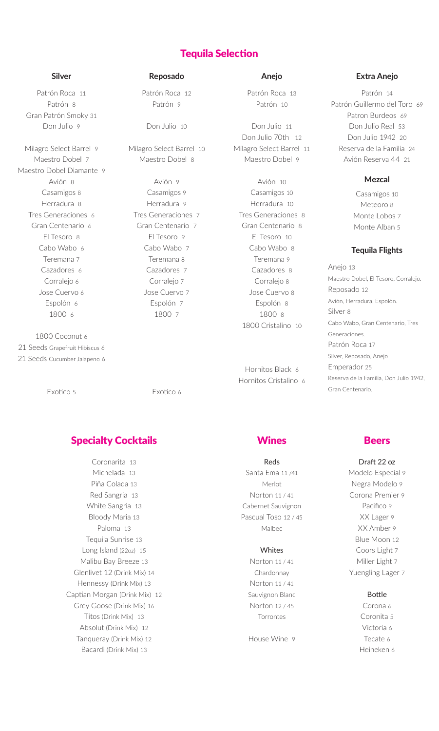# Tequila Selection

Patrón Roca 11 Patrón 8 Gran Patrón Smoky 31 Don Julio 9

Milagro Select Barrel 9 Maestro Dobel 7 Maestro Dobel Diamante 9 Avión 8 Casamigos 8 Herradura 8 Tres Generaciones 6 Gran Centenario 6 El Tesoro 8 Cabo Wabo 6 Teremana 7 Cazadores 6 Corralejo 6 Jose Cuervo 6 Espolón 6 1800 6

1800 Coconut 6 21 Seeds Grapefruit Hibiscus 6 21 Seeds Cucumber Jalapeno 6

Exotico 5

Patrón Roca 12 Patrón 9

Don Julio 10

Milagro Select Barrel 10 Maestro Dobel 8

Avión 9 Casamigos 9 Herradura 9 Tres Generaciones 7 Gran Centenario 7 El Tesoro 9 Cabo Wabo 7 Teremana 8 Cazadores 7 Corralejo 7 Jose Cuervo 7 Espolón 7 1800 7

Exotico 6

# **Specialty Cocktails Example 3 AT AT A Second Wines Beers**

Coronarita 13 Michelada 13 Piña Colada 13 Red Sangria 13 White Sangria 13 Bloody Maria 13 Paloma 13 Tequila Sunrise 13 Long Island (22oz) 15 Malibu Bay Breeze 13 Glenlivet 12 (Drink Mix) 14 Hennessy (Drink Mix) 13 Captian Morgan (Drink Mix) 12 Grey Goose (Drink Mix) 16 Titos (Drink Mix) 13 Absolut (Drink Mix) 12 Tanqueray (Drink Mix) 12 Bacardi (Drink Mix) 13

Patrón Roca 13 Patrón 10

Don Julio 11 Don Julio 70th 12 Milagro Select Barrel 11 Maestro Dobel 9

Avión 10 Casamigos 10 Herradura 10 Tres Generaciones 8 Gran Centenario 8 El Tesoro 10 Cabo Wabo 8 Teremana 9 Cazadores 8 Corralejo 8 Jose Cuervo 8 Espolón 8 1800 8 1800 Cristalino 10

Hornitos Black 6 Hornitos Cristalino 6

### **Silver Reposado Anejo Extra Anejo**

Patrón 14 Patrón Guillermo del Toro 69 Patron Burdeos 69 Don Julio Real 53 Don Julio 1942 20 Reserva de la Familia 24 Avión Reserva 44 21

# **Mezcal**

Casamigos 10 Meteoro 8 Monte Lobos 7 Monte Alban 5

# **Tequila Flights**

Anejo 13 Maestro Dobel, El Tesoro, Corralejo. Reposado 12 Avión, Herradura, Espolón. Silver 8 Cabo Wabo, Gran Centenario, Tres Generaciones. Patrón Roca 17 Silver, Reposado, Anejo Emperador 25 Reserva de la Familia, Don Julio 1942, Gran Centenario.

Reds Santa Ema 11 /41 Merlot Norton 11 / 41 Cabernet Sauvignon Pascual Toso 12 / 45 Malbec

### **Whites**

Norton 11 / 41 Chardonnay Norton 11 / 41 Sauvignon Blanc Norton 12 / 45 **Torrontes** 

House Wine 9

Draft 22 oz Modelo Especial 9 Negra Modelo 9 Corona Premier 9 Pacifico 9 XX Lager 9 XX Amber 9 Blue Moon 12 Coors Light 7 Miller Light 7 Yuengling Lager 7

Bottle

Corona 6 Coronita 5 Victoria 6 Tecate 6 Heineken 6